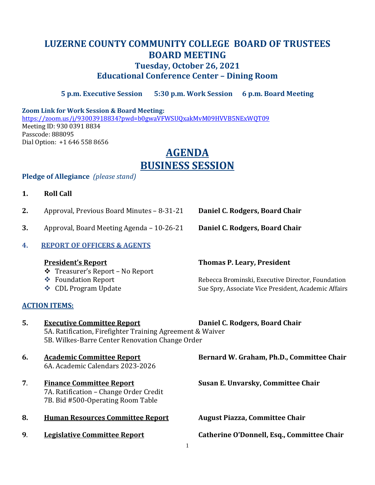# **LUZERNE COUNTY COMMUNITY COLLEGE BOARD OF TRUSTEES BOARD MEETING Tuesday, October 26, 2021 Educational Conference Center – Dining Room**

**5 p.m. Executive Session 5:30 p.m. Work Session 6 p.m. Board Meeting**

#### **Zoom Link for Work Session & Board Meeting:**

<https://zoom.us/j/93003918834?pwd=b0gwaVFWSUQxakMvM09HVVB5NExWQT09> Meeting ID: 930 0391 8834 Passcode: 888095 Dial Option: +1 646 558 8656

# **AGENDA BUSINESS SESSION**

### **Pledge of Allegiance** *(please stand)*

- **1. Roll Call**
- **2.** Approval, Previous Board Minutes 8-31-21 **Daniel C. Rodgers, Board Chair**
- **3.** Approval, Board Meeting Agenda 10-26-21 **Daniel C. Rodgers, Board Chair**
- **4. REPORT OF OFFICERS & AGENTS**

- ❖ Treasurer's Report No Report
- 
- 

## **ACTION ITEMS:**

## **President's Report Thomas P. Leary, President**

❖ Foundation Report Rebecca Brominski, Executive Director, Foundation ◆ CDL Program Update Sue Spry, Associate Vice President, Academic Affairs

**5. Executive Committee Report Daniel C. Rodgers, Board Chair** 5A. Ratification, Firefighter Training Agreement & Waiver 5B. Wilkes-Barre Center Renovation Change Order

- 6A. Academic Calendars 2023-2026
- **7**. **Finance Committee Report Susan E. Unvarsky, Committee Chair** 7A. Ratification – Change Order Credit 7B. Bid #500-Operating Room Table
- **8. Human Resources Committee Report August Piazza, Committee Chair**
- 

**6. Academic Committee Report Bernard W. Graham, Ph.D., Committee Chair**

**9**. **Legislative Committee Report Catherine O'Donnell, Esq., Committee Chair**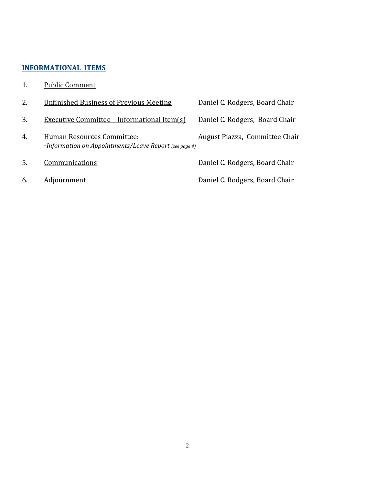## **INFORMATIONAL ITEMS**

1. Public Comment

| 2. | <b>Unfinished Business of Previous Meeting</b>                                       | Daniel C. Rodgers, Board Chair |
|----|--------------------------------------------------------------------------------------|--------------------------------|
| 3. | Executive Committee - Informational Item(s)                                          | Daniel C. Rodgers, Board Chair |
| 4. | Human Resources Committee:<br>-Information on Appointments/Leave Report (see page 4) | August Piazza, Committee Chair |
| 5. | Communications                                                                       | Daniel C. Rodgers, Board Chair |
| 6. | Adjournment                                                                          | Daniel C. Rodgers, Board Chair |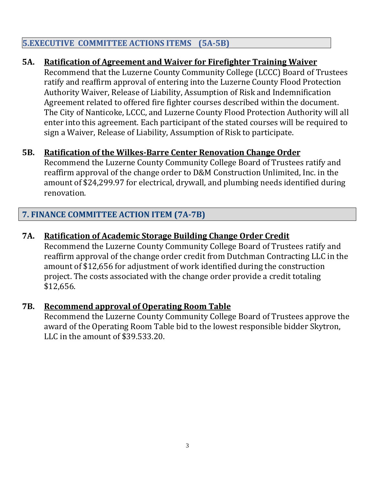# **5.EXECUTIVE COMMITTEE ACTIONS ITEMS (5A-5B)**

# **5A. Ratification of Agreement and Waiver for Firefighter Training Waiver**

Recommend that the Luzerne County Community College (LCCC) Board of Trustees ratify and reaffirm approval of entering into the Luzerne County Flood Protection Authority Waiver, Release of Liability, Assumption of Risk and Indemnification Agreement related to offered fire fighter courses described within the document. The City of Nanticoke, LCCC, and Luzerne County Flood Protection Authority will all enter into this agreement. Each participant of the stated courses will be required to sign a Waiver, Release of Liability, Assumption of Risk to participate.

# **5B. Ratification of the Wilkes-Barre Center Renovation Change Order**

Recommend the Luzerne County Community College Board of Trustees ratify and reaffirm approval of the change order to D&M Construction Unlimited, Inc. in the amount of \$24,299.97 for electrical, drywall, and plumbing needs identified during renovation.

# **7. FINANCE COMMITTEE ACTION ITEM (7A-7B)**

# **7A. Ratification of Academic Storage Building Change Order Credit**

Recommend the Luzerne County Community College Board of Trustees ratify and reaffirm approval of the change order credit from Dutchman Contracting LLC in the amount of \$12,656 for adjustment of work identified during the construction project. The costs associated with the change order provide a credit totaling \$12,656.

## **7B. Recommend approval of Operating Room Table**

Recommend the Luzerne County Community College Board of Trustees approve the award of the Operating Room Table bid to the lowest responsible bidder Skytron, LLC in the amount of \$39.533.20.